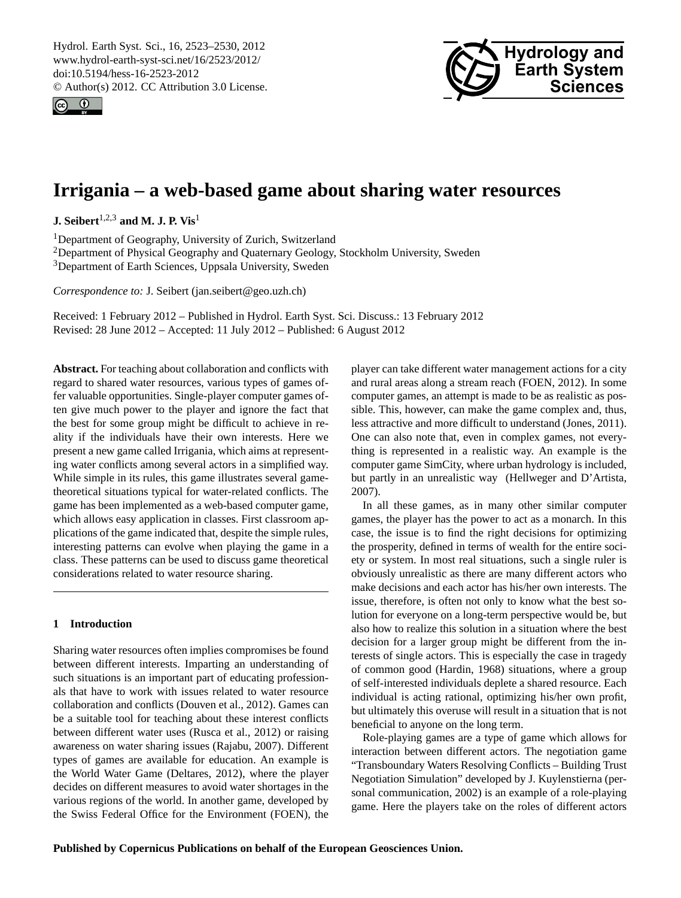<span id="page-0-0"></span>Hydrol. Earth Syst. Sci., 16, 2523–2530, 2012 www.hydrol-earth-syst-sci.net/16/2523/2012/ doi:10.5194/hess-16-2523-2012 © Author(s) 2012. CC Attribution 3.0 License.





# **Irrigania – a web-based game about sharing water resources**

**J. Seibert**1,2,3 **and M. J. P. Vis**<sup>1</sup>

<sup>1</sup>Department of Geography, University of Zurich, Switzerland <sup>2</sup>Department of Physical Geography and Quaternary Geology, Stockholm University, Sweden <sup>3</sup>Department of Earth Sciences, Uppsala University, Sweden

*Correspondence to:* J. Seibert (jan.seibert@geo.uzh.ch)

Received: 1 February 2012 – Published in Hydrol. Earth Syst. Sci. Discuss.: 13 February 2012 Revised: 28 June 2012 – Accepted: 11 July 2012 – Published: 6 August 2012

**Abstract.** For teaching about collaboration and conflicts with regard to shared water resources, various types of games offer valuable opportunities. Single-player computer games often give much power to the player and ignore the fact that the best for some group might be difficult to achieve in reality if the individuals have their own interests. Here we present a new game called Irrigania, which aims at representing water conflicts among several actors in a simplified way. While simple in its rules, this game illustrates several gametheoretical situations typical for water-related conflicts. The game has been implemented as a web-based computer game, which allows easy application in classes. First classroom applications of the game indicated that, despite the simple rules, interesting patterns can evolve when playing the game in a class. These patterns can be used to discuss game theoretical considerations related to water resource sharing.

## **1 Introduction**

Sharing water resources often implies compromises be found between different interests. Imparting an understanding of such situations is an important part of educating professionals that have to work with issues related to water resource collaboration and conflicts (Douven et al., 2012). Games can be a suitable tool for teaching about these interest conflicts between different water uses (Rusca et al., 2012) or raising awareness on water sharing issues (Rajabu, 2007). Different types of games are available for education. An example is the World Water Game (Deltares, 2012), where the player decides on different measures to avoid water shortages in the various regions of the world. In another game, developed by the Swiss Federal Office for the Environment (FOEN), the

player can take different water management actions for a city and rural areas along a stream reach (FOEN, 2012). In some computer games, an attempt is made to be as realistic as possible. This, however, can make the game complex and, thus, less attractive and more difficult to understand (Jones, 2011). One can also note that, even in complex games, not everything is represented in a realistic way. An example is the computer game SimCity, where urban hydrology is included, but partly in an unrealistic way (Hellweger and D'Artista, 2007).

In all these games, as in many other similar computer games, the player has the power to act as a monarch. In this case, the issue is to find the right decisions for optimizing the prosperity, defined in terms of wealth for the entire society or system. In most real situations, such a single ruler is obviously unrealistic as there are many different actors who make decisions and each actor has his/her own interests. The issue, therefore, is often not only to know what the best solution for everyone on a long-term perspective would be, but also how to realize this solution in a situation where the best decision for a larger group might be different from the interests of single actors. This is especially the case in tragedy of common good (Hardin, 1968) situations, where a group of self-interested individuals deplete a shared resource. Each individual is acting rational, optimizing his/her own profit, but ultimately this overuse will result in a situation that is not beneficial to anyone on the long term.

Role-playing games are a type of game which allows for interaction between different actors. The negotiation game "Transboundary Waters Resolving Conflicts – Building Trust Negotiation Simulation" developed by J. Kuylenstierna (personal communication, 2002) is an example of a role-playing game. Here the players take on the roles of different actors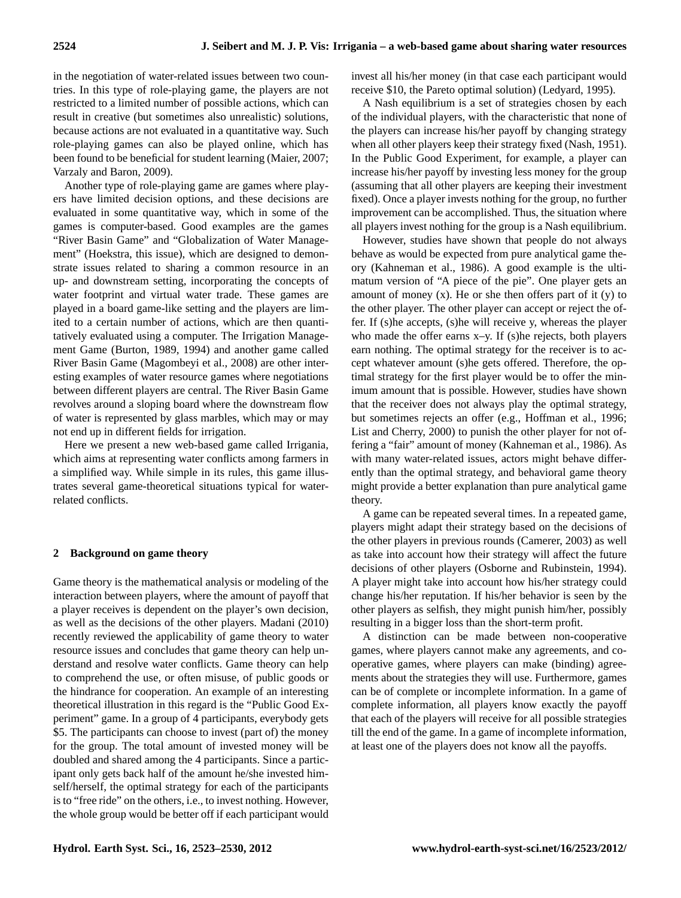in the negotiation of water-related issues between two countries. In this type of role-playing game, the players are not restricted to a limited number of possible actions, which can result in creative (but sometimes also unrealistic) solutions, because actions are not evaluated in a quantitative way. Such role-playing games can also be played online, which has been found to be beneficial for student learning (Maier, 2007; Varzaly and Baron, 2009).

Another type of role-playing game are games where players have limited decision options, and these decisions are evaluated in some quantitative way, which in some of the games is computer-based. Good examples are the games "River Basin Game" and "Globalization of Water Management" (Hoekstra, this issue), which are designed to demonstrate issues related to sharing a common resource in an up- and downstream setting, incorporating the concepts of water footprint and virtual water trade. These games are played in a board game-like setting and the players are limited to a certain number of actions, which are then quantitatively evaluated using a computer. The Irrigation Management Game (Burton, 1989, 1994) and another game called River Basin Game (Magombeyi et al., 2008) are other interesting examples of water resource games where negotiations between different players are central. The River Basin Game revolves around a sloping board where the downstream flow of water is represented by glass marbles, which may or may not end up in different fields for irrigation.

Here we present a new web-based game called Irrigania, which aims at representing water conflicts among farmers in a simplified way. While simple in its rules, this game illustrates several game-theoretical situations typical for waterrelated conflicts.

#### **2 Background on game theory**

Game theory is the mathematical analysis or modeling of the interaction between players, where the amount of payoff that a player receives is dependent on the player's own decision, as well as the decisions of the other players. Madani (2010) recently reviewed the applicability of game theory to water resource issues and concludes that game theory can help understand and resolve water conflicts. Game theory can help to comprehend the use, or often misuse, of public goods or the hindrance for cooperation. An example of an interesting theoretical illustration in this regard is the "Public Good Experiment" game. In a group of 4 participants, everybody gets \$5. The participants can choose to invest (part of) the money for the group. The total amount of invested money will be doubled and shared among the 4 participants. Since a participant only gets back half of the amount he/she invested himself/herself, the optimal strategy for each of the participants is to "free ride" on the others, i.e., to invest nothing. However, the whole group would be better off if each participant would invest all his/her money (in that case each participant would receive \$10, the Pareto optimal solution) (Ledyard, 1995).

A Nash equilibrium is a set of strategies chosen by each of the individual players, with the characteristic that none of the players can increase his/her payoff by changing strategy when all other players keep their strategy fixed (Nash, 1951). In the Public Good Experiment, for example, a player can increase his/her payoff by investing less money for the group (assuming that all other players are keeping their investment fixed). Once a player invests nothing for the group, no further improvement can be accomplished. Thus, the situation where all players invest nothing for the group is a Nash equilibrium.

However, studies have shown that people do not always behave as would be expected from pure analytical game theory (Kahneman et al., 1986). A good example is the ultimatum version of "A piece of the pie". One player gets an amount of money  $(x)$ . He or she then offers part of it  $(y)$  to the other player. The other player can accept or reject the offer. If (s)he accepts, (s)he will receive y, whereas the player who made the offer earns x–y. If (s)he rejects, both players earn nothing. The optimal strategy for the receiver is to accept whatever amount (s)he gets offered. Therefore, the optimal strategy for the first player would be to offer the minimum amount that is possible. However, studies have shown that the receiver does not always play the optimal strategy, but sometimes rejects an offer (e.g., Hoffman et al., 1996; List and Cherry, 2000) to punish the other player for not offering a "fair" amount of money (Kahneman et al., 1986). As with many water-related issues, actors might behave differently than the optimal strategy, and behavioral game theory might provide a better explanation than pure analytical game theory.

A game can be repeated several times. In a repeated game, players might adapt their strategy based on the decisions of the other players in previous rounds (Camerer, 2003) as well as take into account how their strategy will affect the future decisions of other players (Osborne and Rubinstein, 1994). A player might take into account how his/her strategy could change his/her reputation. If his/her behavior is seen by the other players as selfish, they might punish him/her, possibly resulting in a bigger loss than the short-term profit.

A distinction can be made between non-cooperative games, where players cannot make any agreements, and cooperative games, where players can make (binding) agreements about the strategies they will use. Furthermore, games can be of complete or incomplete information. In a game of complete information, all players know exactly the payoff that each of the players will receive for all possible strategies till the end of the game. In a game of incomplete information, at least one of the players does not know all the payoffs.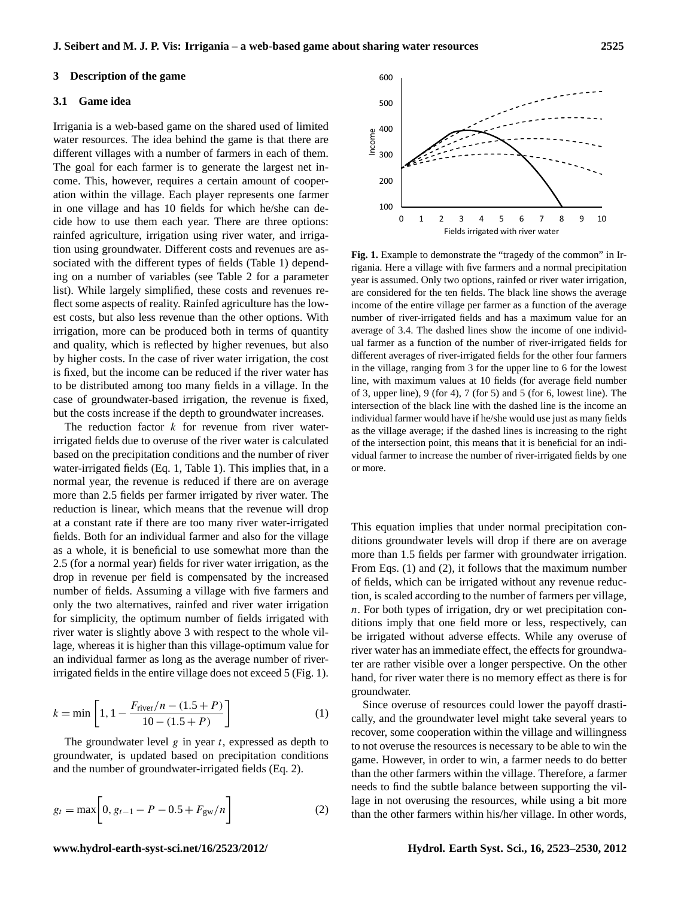## **J.** Seibert and M. J. P. Vis: Irrigania – a web-based game about sharing water resources  $2525$

#### **3 Description of the game**

#### **3.1 Game idea**

Irrigania is a web-based game on the shared used of limited water resources. The idea behind the game is that there are different villages with a number of farmers in each of them. The goal for each farmer is to generate the largest net income. This, however, requires a certain amount of cooperation within the village. Each player represents one farmer in one village and has 10 fields for which he/she can decide how to use them each year. There are three options: rainfed agriculture, irrigation using river water, and irrigation using groundwater. Different costs and revenues are associated with the different types of fields (Table 1) depending on a number of variables (see Table 2 for a parameter list). While largely simplified, these costs and revenues reflect some aspects of reality. Rainfed agriculture has the lowest costs, but also less revenue than the other options. With irrigation, more can be produced both in terms of quantity and quality, which is reflected by higher revenues, but also by higher costs. In the case of river water irrigation, the cost is fixed, but the income can be reduced if the river water has to be distributed among too many fields in a village. In the case of groundwater-based irrigation, the revenue is fixed, but the costs increase if the depth to groundwater increases.

The reduction factor  $k$  for revenue from river waterirrigated fields due to overuse of the river water is calculated based on the precipitation conditions and the number of river water-irrigated fields (Eq. 1, Table 1). This implies that, in a normal year, the revenue is reduced if there are on average more than 2.5 fields per farmer irrigated by river water. The reduction is linear, which means that the revenue will drop at a constant rate if there are too many river water-irrigated fields. Both for an individual farmer and also for the village as a whole, it is beneficial to use somewhat more than the 2.5 (for a normal year) fields for river water irrigation, as the drop in revenue per field is compensated by the increased number of fields. Assuming a village with five farmers and only the two alternatives, rainfed and river water irrigation for simplicity, the optimum number of fields irrigated with river water is slightly above 3 with respect to the whole village, whereas it is higher than this village-optimum value for an individual farmer as long as the average number of riverirrigated fields in the entire village does not exceed 5 (Fig. 1).

$$
k = \min\left[1, 1 - \frac{F_{\text{river}}/n - (1.5 + P)}{10 - (1.5 + P)}\right]
$$
 (1)

The groundwater level  $g$  in year  $t$ , expressed as depth to groundwater, is updated based on precipitation conditions and the number of groundwater-irrigated fields (Eq. 2).

$$
g_t = \max\bigg[0, g_{t-1} - P - 0.5 + F_{\text{gw}}/n\bigg] \tag{2}
$$

500  
\n
$$
\begin{bmatrix}\n600 \\
500 \\
400 \\
\hline\n200 \\
200 \\
0 & 1 & 2 & 3 & 4 & 5 & 6 & 7 & 8 & 9 & 10\n\end{bmatrix}
$$
\n  
\n
$$
\begin{bmatrix}\n600 \\
400 \\
500 \\
200 \\
\hline\n1 & 2 & 3 & 4 & 5 & 6 & 7 & 8 & 9 & 10\n\end{bmatrix}
$$
\n
$$
\begin{bmatrix}\n600 \\
600 \\
500 \\
600 \\
100\n\end{bmatrix}
$$
\n
$$
\begin{bmatrix}\n600 \\
600 \\
600 \\
100\n\end{bmatrix}
$$
\n
$$
\begin{bmatrix}\n600 \\
600 \\
600 \\
100\n\end{bmatrix}
$$
\n
$$
\begin{bmatrix}\n600 \\
600 \\
600 \\
100\n\end{bmatrix}
$$
\n
$$
\begin{bmatrix}\n600 \\
600 \\
600 \\
100\n\end{bmatrix}
$$
\n
$$
\begin{bmatrix}\n600 \\
600 \\
600 \\
100\n\end{bmatrix}
$$
\n
$$
\begin{bmatrix}\n600 \\
600 \\
600 \\
100\n\end{bmatrix}
$$
\n
$$
\begin{bmatrix}\n600 \\
600 \\
600 \\
100\n\end{bmatrix}
$$
\n
$$
\begin{bmatrix}\n600 \\
600 \\
600 \\
100\n\end{bmatrix}
$$
\n
$$
\begin{bmatrix}\n600 \\
600 \\
600 \\
100\n\end{bmatrix}
$$
\n
$$
\begin{bmatrix}\n600 \\
600 \\
600 \\
100\n\end{bmatrix}
$$
\n
$$
\begin{bmatrix}\n600 \\
600 \\
600 \\
100\n\end{bmatrix}
$$
\n
$$
\begin{bmatrix}\n600 \\
600 \\
600 \\
100\n\end{bmatrix}
$$
\n
$$
\begin{bmatrix}\n600 \\
600 \\
600 \\
100\n\end{bmatrix}
$$
\n
$$
\begin{bmatrix}\n600 \\
600 \\
600 \\
100\n\end{bmatrix}
$$
\n
$$
\begin{bmatrix}\n600 \\
600 \\
600 \\
100\n\end{bmatrix}
$$
\n
$$
\begin{bmatrix}\
$$

Fig. 1. Example to demonstrate the "tragedy of the common" in Irrigania. Here a village with five farmers and a normal precipitation year is assumed. Only two options, rainfed or river water irrigation, are considered for the ten fields. The black line shows the average income of the entire village per farmer as a function of the average number of river-irrigated fields and has a maximum value for an average of 3.4. The dashed lines show the income of one individual farmer as a function of the number of river-irrigated fields for different averages of river-irrigated fields for the other four farmers in the village, ranging from 3 for the upper line to 6 for the lowest line, with maximum values at 10 fields (for average field number of 3, upper line), 9 (for 4), 7 (for 5) and 5 (for 6, lowest line). The as the village average; if the dashed lines is increasing to the right intersection of the black line with the dashed line is the income an individual farmer would have if he/she would use just as many fields of the intersection point, this means that it is beneficial for an individual farmer to increase the number of river-irrigated fields by one or more.

This equation implies that under normal precipitation conditions groundwater levels will drop if there are on average more than 1.5 fields per farmer with groundwater irrigation. From Eqs. (1) and (2), it follows that the maximum number of fields, which can be irrigated without any revenue reduction, is scaled according to the number of farmers per village, n. For both types of irrigation, dry or wet precipitation conditions imply that one field more or less, respectively, can be irrigated without adverse effects. While any overuse of river water has an immediate effect, the effects for groundwater are rather visible over a longer perspective. On the other hand, for river water there is no memory effect as there is for groundwater.

Since overuse of resources could lower the payoff drastically, and the groundwater level might take several years to recover, some cooperation within the village and willingness to not overuse the resources is necessary to be able to win the game. However, in order to win, a farmer needs to do better than the other farmers within the village. Therefore, a farmer needs to find the subtle balance between supporting the village in not overusing the resources, while using a bit more than the other farmers within his/her village. In other words,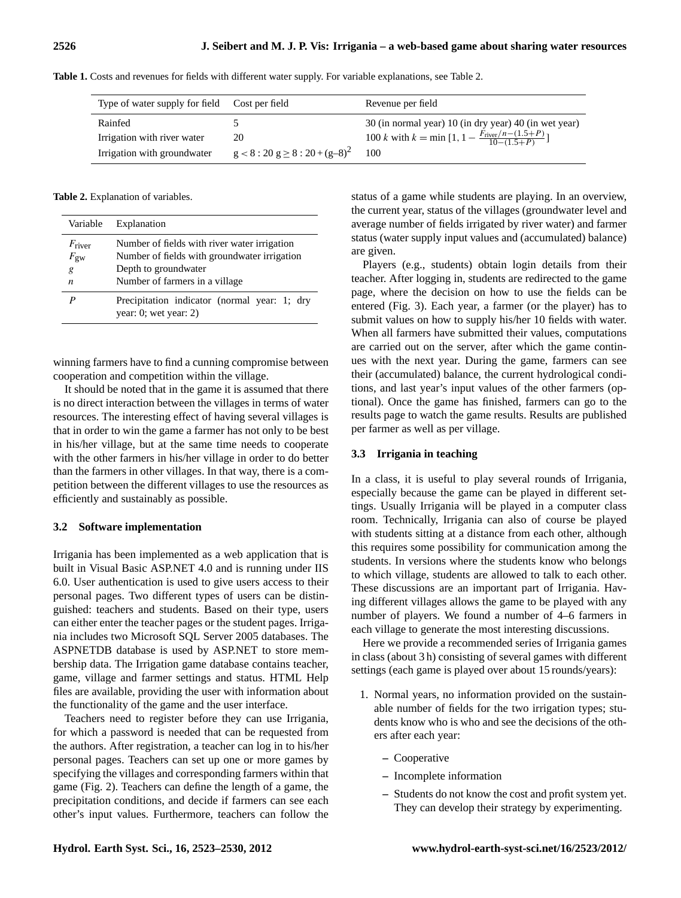**Table 1.** Costs and revenues for fields with different water supply. For variable explanations, see Table 2.

| Type of water supply for field Cost per field |                                 | Revenue per field                                                                              |
|-----------------------------------------------|---------------------------------|------------------------------------------------------------------------------------------------|
| Rainfed                                       |                                 | 30 (in normal year) 10 (in dry year) 40 (in wet year)                                          |
| Irrigation with river water                   | 20                              | 100 k with $k = \min\left[1, 1 - \frac{F_{\text{river}}/n - (1.5 + P)}{10 - (1.5 + P)}\right]$ |
| Irrigation with groundwater                   | $g < 8:20 g \ge 8:20 + (g-8)^2$ | 100                                                                                            |

**Table 2.** Explanation of variables.

| Variable                                     | Explanation                                                                                                                                             |
|----------------------------------------------|---------------------------------------------------------------------------------------------------------------------------------------------------------|
| $F_{\text{river}}$<br>$F_{\rm gw}$<br>g<br>n | Number of fields with river water irrigation<br>Number of fields with groundwater irrigation<br>Depth to groundwater<br>Number of farmers in a village. |
| P                                            | Precipitation indicator (normal year: 1; dry<br>year: $0$ ; wet year: $2)$                                                                              |

winning farmers have to find a cunning compromise between cooperation and competition within the village.

It should be noted that in the game it is assumed that there is no direct interaction between the villages in terms of water resources. The interesting effect of having several villages is that in order to win the game a farmer has not only to be best in his/her village, but at the same time needs to cooperate with the other farmers in his/her village in order to do better than the farmers in other villages. In that way, there is a competition between the different villages to use the resources as efficiently and sustainably as possible.

## **3.2 Software implementation**

Irrigania has been implemented as a web application that is built in Visual Basic ASP.NET 4.0 and is running under IIS 6.0. User authentication is used to give users access to their personal pages. Two different types of users can be distinguished: teachers and students. Based on their type, users can either enter the teacher pages or the student pages. Irrigania includes two Microsoft SQL Server 2005 databases. The ASPNETDB database is used by ASP.NET to store membership data. The Irrigation game database contains teacher, game, village and farmer settings and status. HTML Help files are available, providing the user with information about the functionality of the game and the user interface.

Teachers need to register before they can use Irrigania, for which a password is needed that can be requested from the authors. After registration, a teacher can log in to his/her personal pages. Teachers can set up one or more games by specifying the villages and corresponding farmers within that game (Fig. 2). Teachers can define the length of a game, the precipitation conditions, and decide if farmers can see each other's input values. Furthermore, teachers can follow the status of a game while students are playing. In an overview, the current year, status of the villages (groundwater level and average number of fields irrigated by river water) and farmer status (water supply input values and (accumulated) balance) are given.

Players (e.g., students) obtain login details from their teacher. After logging in, students are redirected to the game page, where the decision on how to use the fields can be entered (Fig. 3). Each year, a farmer (or the player) has to submit values on how to supply his/her 10 fields with water. When all farmers have submitted their values, computations are carried out on the server, after which the game continues with the next year. During the game, farmers can see their (accumulated) balance, the current hydrological conditions, and last year's input values of the other farmers (optional). Once the game has finished, farmers can go to the results page to watch the game results. Results are published per farmer as well as per village.

## **3.3 Irrigania in teaching**

In a class, it is useful to play several rounds of Irrigania, especially because the game can be played in different settings. Usually Irrigania will be played in a computer class room. Technically, Irrigania can also of course be played with students sitting at a distance from each other, although this requires some possibility for communication among the students. In versions where the students know who belongs to which village, students are allowed to talk to each other. These discussions are an important part of Irrigania. Having different villages allows the game to be played with any number of players. We found a number of 4–6 farmers in each village to generate the most interesting discussions.

Here we provide a recommended series of Irrigania games in class (about 3 h) consisting of several games with different settings (each game is played over about 15 rounds/years):

- 1. Normal years, no information provided on the sustainable number of fields for the two irrigation types; students know who is who and see the decisions of the others after each year:
	- **–** Cooperative
	- **–** Incomplete information
	- **–** Students do not know the cost and profit system yet. They can develop their strategy by experimenting.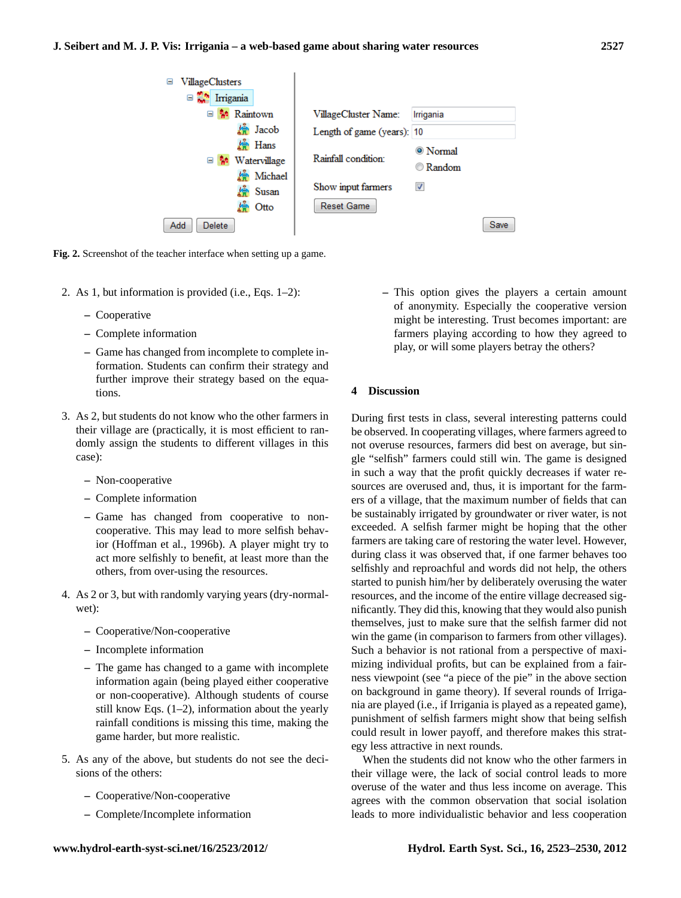

**Fig. 2.** Screenshot of the teacher interface when setting up a game.

- 2. As 1, but information is provided (i.e., Eqs. 1–2):
	- **–** Cooperative
	- **–** Complete information
	- **–** Game has changed from incomplete to complete information. Students can confirm their strategy and further improve their strategy based on the equations.
- 3. As 2, but students do not know who the other farmers in their village are (practically, it is most efficient to randomly assign the students to different villages in this case):
	- **–** Non-cooperative
	- **–** Complete information
	- **–** Game has changed from cooperative to noncooperative. This may lead to more selfish behavior (Hoffman et al., 1996b). A player might try to act more selfishly to benefit, at least more than the others, from over-using the resources.
- 4. As 2 or 3, but with randomly varying years (dry-normalwet):
	- **–** Cooperative/Non-cooperative
	- **–** Incomplete information
	- **–** The game has changed to a game with incomplete information again (being played either cooperative or non-cooperative). Although students of course still know Eqs. (1–2), information about the yearly rainfall conditions is missing this time, making the game harder, but more realistic.
- 5. As any of the above, but students do not see the decisions of the others:
	- **–** Cooperative/Non-cooperative
	- **–** Complete/Incomplete information

**–** This option gives the players a certain amount of anonymity. Especially the cooperative version might be interesting. Trust becomes important: are farmers playing according to how they agreed to play, or will some players betray the others?

### **4 Discussion**

During first tests in class, several interesting patterns could be observed. In cooperating villages, where farmers agreed to not overuse resources, farmers did best on average, but single "selfish" farmers could still win. The game is designed in such a way that the profit quickly decreases if water resources are overused and, thus, it is important for the farmers of a village, that the maximum number of fields that can be sustainably irrigated by groundwater or river water, is not exceeded. A selfish farmer might be hoping that the other farmers are taking care of restoring the water level. However, during class it was observed that, if one farmer behaves too selfishly and reproachful and words did not help, the others started to punish him/her by deliberately overusing the water resources, and the income of the entire village decreased significantly. They did this, knowing that they would also punish themselves, just to make sure that the selfish farmer did not win the game (in comparison to farmers from other villages). Such a behavior is not rational from a perspective of maximizing individual profits, but can be explained from a fairness viewpoint (see "a piece of the pie" in the above section on background in game theory). If several rounds of Irrigania are played (i.e., if Irrigania is played as a repeated game), punishment of selfish farmers might show that being selfish could result in lower payoff, and therefore makes this strategy less attractive in next rounds.

When the students did not know who the other farmers in their village were, the lack of social control leads to more overuse of the water and thus less income on average. This agrees with the common observation that social isolation leads to more individualistic behavior and less cooperation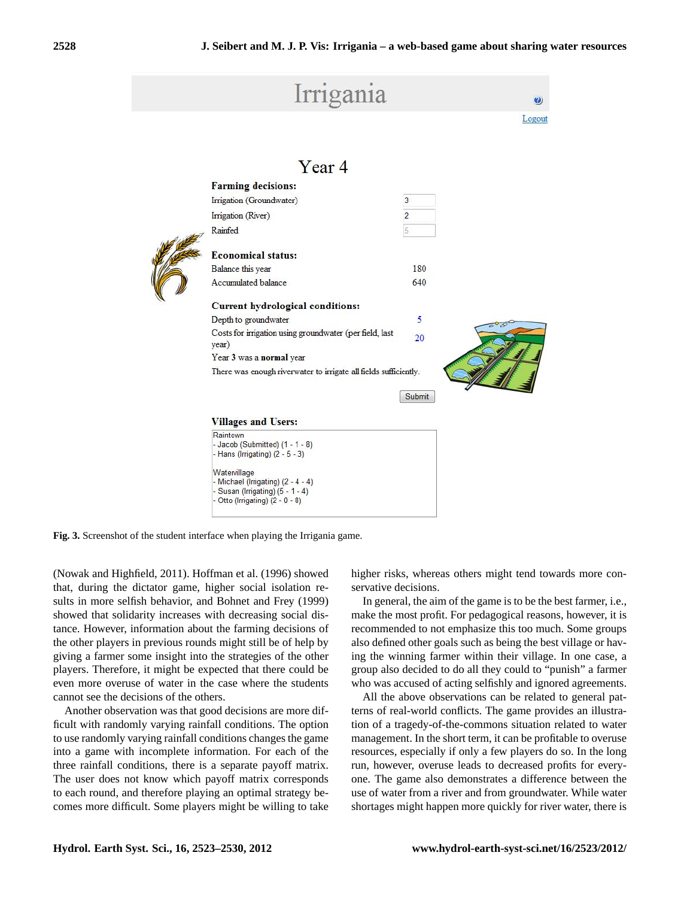

**Fig. 3.** Screenshot of the student interface when playing the Irrigania game.

(Nowak and Highfield, 2011). Hoffman et al. (1996) showed that, during the dictator game, higher social isolation results in more selfish behavior, and Bohnet and Frey (1999) showed that solidarity increases with decreasing social distance. However, information about the farming decisions of the other players in previous rounds might still be of help by giving a farmer some insight into the strategies of the other players. Therefore, it might be expected that there could be even more overuse of water in the case where the students cannot see the decisions of the others.

Another observation was that good decisions are more difficult with randomly varying rainfall conditions. The option to use randomly varying rainfall conditions changes the game into a game with incomplete information. For each of the three rainfall conditions, there is a separate payoff matrix. The user does not know which payoff matrix corresponds to each round, and therefore playing an optimal strategy becomes more difficult. Some players might be willing to take higher risks, whereas others might tend towards more conservative decisions.

In general, the aim of the game is to be the best farmer, i.e., make the most profit. For pedagogical reasons, however, it is recommended to not emphasize this too much. Some groups also defined other goals such as being the best village or having the winning farmer within their village. In one case, a group also decided to do all they could to "punish" a farmer who was accused of acting selfishly and ignored agreements.

All the above observations can be related to general patterns of real-world conflicts. The game provides an illustration of a tragedy-of-the-commons situation related to water management. In the short term, it can be profitable to overuse resources, especially if only a few players do so. In the long run, however, overuse leads to decreased profits for everyone. The game also demonstrates a difference between the use of water from a river and from groundwater. While water shortages might happen more quickly for river water, there is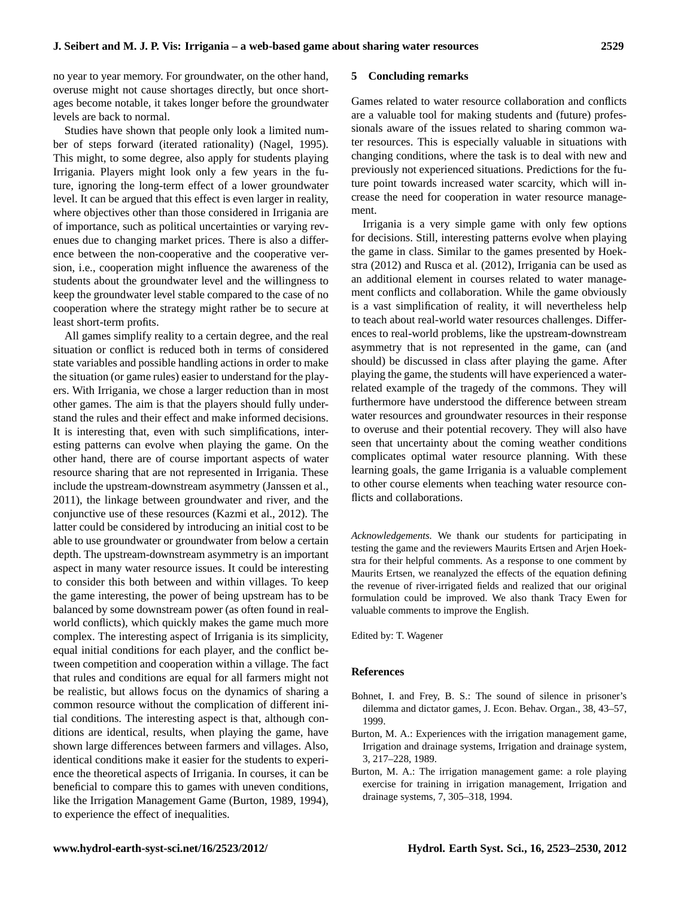no year to year memory. For groundwater, on the other hand, overuse might not cause shortages directly, but once shortages become notable, it takes longer before the groundwater levels are back to normal.

Studies have shown that people only look a limited number of steps forward (iterated rationality) (Nagel, 1995). This might, to some degree, also apply for students playing Irrigania. Players might look only a few years in the future, ignoring the long-term effect of a lower groundwater level. It can be argued that this effect is even larger in reality, where objectives other than those considered in Irrigania are of importance, such as political uncertainties or varying revenues due to changing market prices. There is also a difference between the non-cooperative and the cooperative version, i.e., cooperation might influence the awareness of the students about the groundwater level and the willingness to keep the groundwater level stable compared to the case of no cooperation where the strategy might rather be to secure at least short-term profits.

All games simplify reality to a certain degree, and the real situation or conflict is reduced both in terms of considered state variables and possible handling actions in order to make the situation (or game rules) easier to understand for the players. With Irrigania, we chose a larger reduction than in most other games. The aim is that the players should fully understand the rules and their effect and make informed decisions. It is interesting that, even with such simplifications, interesting patterns can evolve when playing the game. On the other hand, there are of course important aspects of water resource sharing that are not represented in Irrigania. These include the upstream-downstream asymmetry (Janssen et al., 2011), the linkage between groundwater and river, and the conjunctive use of these resources (Kazmi et al., 2012). The latter could be considered by introducing an initial cost to be able to use groundwater or groundwater from below a certain depth. The upstream-downstream asymmetry is an important aspect in many water resource issues. It could be interesting to consider this both between and within villages. To keep the game interesting, the power of being upstream has to be balanced by some downstream power (as often found in realworld conflicts), which quickly makes the game much more complex. The interesting aspect of Irrigania is its simplicity, equal initial conditions for each player, and the conflict between competition and cooperation within a village. The fact that rules and conditions are equal for all farmers might not be realistic, but allows focus on the dynamics of sharing a common resource without the complication of different initial conditions. The interesting aspect is that, although conditions are identical, results, when playing the game, have shown large differences between farmers and villages. Also, identical conditions make it easier for the students to experience the theoretical aspects of Irrigania. In courses, it can be beneficial to compare this to games with uneven conditions, like the Irrigation Management Game (Burton, 1989, 1994), to experience the effect of inequalities.

### **5 Concluding remarks**

Games related to water resource collaboration and conflicts are a valuable tool for making students and (future) professionals aware of the issues related to sharing common water resources. This is especially valuable in situations with changing conditions, where the task is to deal with new and previously not experienced situations. Predictions for the future point towards increased water scarcity, which will increase the need for cooperation in water resource management.

Irrigania is a very simple game with only few options for decisions. Still, interesting patterns evolve when playing the game in class. Similar to the games presented by Hoekstra (2012) and Rusca et al. (2012), Irrigania can be used as an additional element in courses related to water management conflicts and collaboration. While the game obviously is a vast simplification of reality, it will nevertheless help to teach about real-world water resources challenges. Differences to real-world problems, like the upstream-downstream asymmetry that is not represented in the game, can (and should) be discussed in class after playing the game. After playing the game, the students will have experienced a waterrelated example of the tragedy of the commons. They will furthermore have understood the difference between stream water resources and groundwater resources in their response to overuse and their potential recovery. They will also have seen that uncertainty about the coming weather conditions complicates optimal water resource planning. With these learning goals, the game Irrigania is a valuable complement to other course elements when teaching water resource conflicts and collaborations.

*Acknowledgements.* We thank our students for participating in testing the game and the reviewers Maurits Ertsen and Arjen Hoekstra for their helpful comments. As a response to one comment by Maurits Ertsen, we reanalyzed the effects of the equation defining the revenue of river-irrigated fields and realized that our original formulation could be improved. We also thank Tracy Ewen for valuable comments to improve the English.

Edited by: T. Wagener

#### **References**

- Bohnet, I. and Frey, B. S.: The sound of silence in prisoner's dilemma and dictator games, J. Econ. Behav. Organ., 38, 43–57, 1999.
- Burton, M. A.: Experiences with the irrigation management game, Irrigation and drainage systems, Irrigation and drainage system, 3, 217–228, 1989.
- Burton, M. A.: The irrigation management game: a role playing exercise for training in irrigation management, Irrigation and drainage systems, 7, 305–318, 1994.